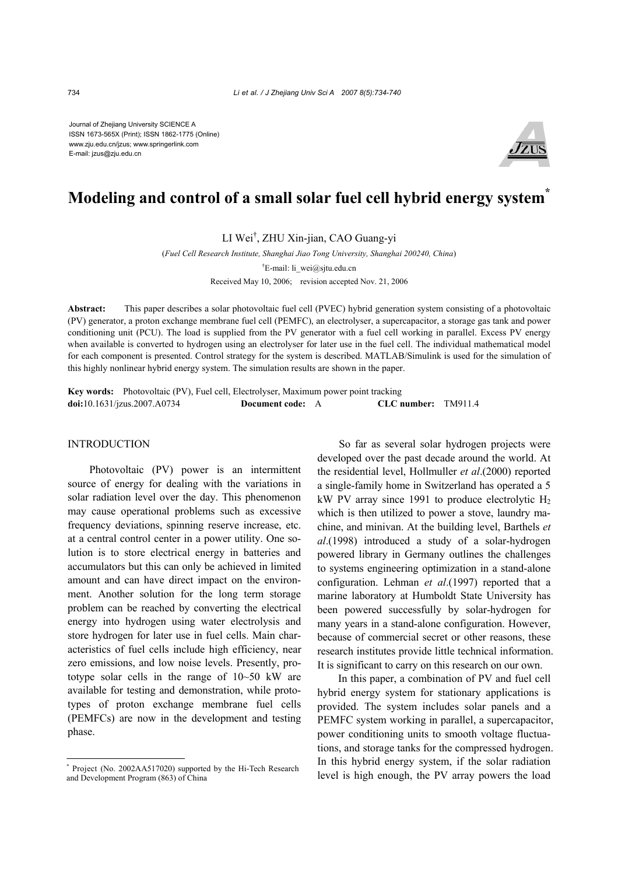Journal of Zhejiang University SCIENCE A ISSN 1673-565X (Print); ISSN 1862-1775 (Online) www.zju.edu.cn/jzus; www.springerlink.com E-mail: jzus@zju.edu.cn



# **Modeling and control of a small solar fuel cell hybrid energy system\***

LI Wei† , ZHU Xin-jian, CAO Guang-yi

(*Fuel Cell Research Institute, Shanghai Jiao Tong University, Shanghai 200240, China*)

† E-mail: li\_wei@sjtu.edu.cn

Received May 10, 2006; revision accepted Nov. 21, 2006

**Abstract:** This paper describes a solar photovoltaic fuel cell (PVEC) hybrid generation system consisting of a photovoltaic (PV) generator, a proton exchange membrane fuel cell (PEMFC), an electrolyser, a supercapacitor, a storage gas tank and power conditioning unit (PCU). The load is supplied from the PV generator with a fuel cell working in parallel. Excess PV energy when available is converted to hydrogen using an electrolyser for later use in the fuel cell. The individual mathematical model for each component is presented. Control strategy for the system is described. MATLAB/Simulink is used for the simulation of this highly nonlinear hybrid energy system. The simulation results are shown in the paper.

**Key words:** Photovoltaic (PV), Fuel cell, Electrolyser, Maximum power point tracking **doi:**10.1631/jzus.2007.A0734 **Document code:** A **CLC number:** TM911.4

## INTRODUCTION

Photovoltaic (PV) power is an intermittent source of energy for dealing with the variations in solar radiation level over the day. This phenomenon may cause operational problems such as excessive frequency deviations, spinning reserve increase, etc. at a central control center in a power utility. One solution is to store electrical energy in batteries and accumulators but this can only be achieved in limited amount and can have direct impact on the environment. Another solution for the long term storage problem can be reached by converting the electrical energy into hydrogen using water electrolysis and store hydrogen for later use in fuel cells. Main characteristics of fuel cells include high efficiency, near zero emissions, and low noise levels. Presently, prototype solar cells in the range of 10~50 kW are available for testing and demonstration, while prototypes of proton exchange membrane fuel cells (PEMFCs) are now in the development and testing phase.

So far as several solar hydrogen projects were developed over the past decade around the world. At the residential level, Hollmuller *et al*.(2000) reported a single-family home in Switzerland has operated a 5 kW PV array since 1991 to produce electrolytic  $H_2$ which is then utilized to power a stove, laundry machine, and minivan. At the building level, Barthels *et al*.(1998) introduced a study of a solar-hydrogen powered library in Germany outlines the challenges to systems engineering optimization in a stand-alone configuration. Lehman *et al*.(1997) reported that a marine laboratory at Humboldt State University has been powered successfully by solar-hydrogen for many years in a stand-alone configuration. However, because of commercial secret or other reasons, these research institutes provide little technical information. It is significant to carry on this research on our own.

In this paper, a combination of PV and fuel cell hybrid energy system for stationary applications is provided. The system includes solar panels and a PEMFC system working in parallel, a supercapacitor, power conditioning units to smooth voltage fluctuations, and storage tanks for the compressed hydrogen. In this hybrid energy system, if the solar radiation level is high enough, the PV array powers the load

<sup>\*</sup> Project (No. 2002AA517020) supported by the Hi-Tech Research and Development Program (863) of China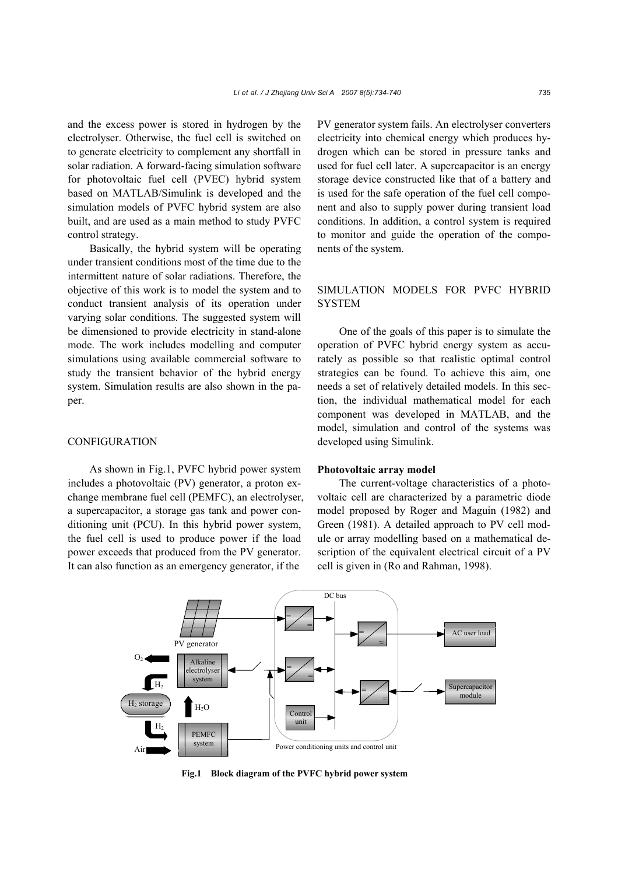and the excess power is stored in hydrogen by the electrolyser. Otherwise, the fuel cell is switched on to generate electricity to complement any shortfall in solar radiation. A forward-facing simulation software for photovoltaic fuel cell (PVEC) hybrid system based on MATLAB/Simulink is developed and the simulation models of PVFC hybrid system are also built, and are used as a main method to study PVFC control strategy.

Basically, the hybrid system will be operating under transient conditions most of the time due to the intermittent nature of solar radiations. Therefore, the objective of this work is to model the system and to conduct transient analysis of its operation under varying solar conditions. The suggested system will be dimensioned to provide electricity in stand-alone mode. The work includes modelling and computer simulations using available commercial software to study the transient behavior of the hybrid energy system. Simulation results are also shown in the paper.

#### CONFIGURATION

As shown in Fig.1, PVFC hybrid power system includes a photovoltaic (PV) generator, a proton exchange membrane fuel cell (PEMFC), an electrolyser, a supercapacitor, a storage gas tank and power conditioning unit (PCU). In this hybrid power system, the fuel cell is used to produce power if the load power exceeds that produced from the PV generator. It can also function as an emergency generator, if the

PV generator system fails. An electrolyser converters electricity into chemical energy which produces hydrogen which can be stored in pressure tanks and used for fuel cell later. A supercapacitor is an energy storage device constructed like that of a battery and is used for the safe operation of the fuel cell component and also to supply power during transient load conditions. In addition, a control system is required to monitor and guide the operation of the components of the system.

# SIMULATION MODELS FOR PVFC HYBRID **SYSTEM**

One of the goals of this paper is to simulate the operation of PVFC hybrid energy system as accurately as possible so that realistic optimal control strategies can be found. To achieve this aim, one needs a set of relatively detailed models. In this section, the individual mathematical model for each component was developed in MATLAB, and the model, simulation and control of the systems was developed using Simulink.

#### **Photovoltaic array model**

The current-voltage characteristics of a photovoltaic cell are characterized by a parametric diode model proposed by Roger and Maguin (1982) and Green (1981). A detailed approach to PV cell module or array modelling based on a mathematical description of the equivalent electrical circuit of a PV cell is given in (Ro and Rahman, 1998).



**Fig.1 Block diagram of the PVFC hybrid power system**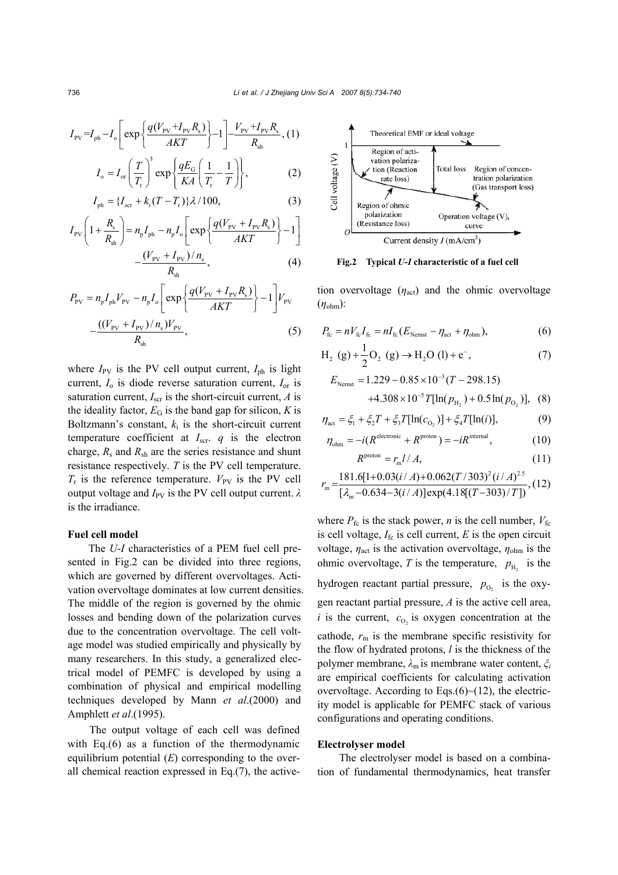$$
I_{\rm PV} = I_{\rm ph} - I_{\rm o} \left[ \exp \left\{ \frac{q(V_{\rm PV} + I_{\rm PV}R_{\rm s})}{AKT} \right\} - 1 \right] - \frac{V_{\rm PV} + I_{\rm PV}R_{\rm s}}{R_{\rm sh}}, (1)
$$

$$
I_o = I_{or} \left(\frac{T}{T_r}\right)^3 \exp\left\{\frac{qE_G}{KA} \left(\frac{1}{T_r} - \frac{1}{T}\right)\right\},\tag{2}
$$

$$
I_{\rm ph} = \{I_{\rm scr} + k_{\rm i}(T - T_{\rm r})\}\lambda/100,
$$
 (3)

$$
I_{\rm PV}\left(1+\frac{R_{\rm s}}{R_{\rm sh}}\right) = n_{\rm p}I_{\rm ph} - n_{\rm p}I_{\rm o}\left[\exp\left\{\frac{q(V_{\rm PV} + I_{\rm PV}R_{\rm s})}{AKT}\right\} - 1\right] - \frac{(V_{\rm PV} + I_{\rm PV})/n_{\rm s}}{R_{\rm sh}},\tag{4}
$$

$$
P_{\text{PV}} = n_{\text{p}} I_{\text{ph}} V_{\text{PV}} - n_{\text{p}} I_{\text{o}} \left[ \exp \left\{ \frac{q(V_{\text{PV}} + I_{\text{PV}} R_{\text{s}})}{AKT} \right\} - 1 \right] V_{\text{PV}}
$$

$$
- \frac{((V_{\text{PV}} + I_{\text{PV}})/n_{\text{s}})V_{\text{PV}}}{R_{\text{sh}}}, \tag{5}
$$

where  $I_{\text{PV}}$  is the PV cell output current,  $I_{\text{ph}}$  is light current, *I*o is diode reverse saturation current, *I*or is saturation current,  $I_{\text{scr}}$  is the short-circuit current,  $A$  is the ideality factor,  $E_G$  is the band gap for silicon,  $K$  is Boltzmann's constant,  $k_i$  is the short-circuit current temperature coefficient at  $I_{\text{scr}}$  *q* is the electron charge,  $R_s$  and  $R_{sh}$  are the series resistance and shunt resistance respectively. *T* is the PV cell temperature.  $T_r$  is the reference temperature.  $V_{PV}$  is the PV cell output voltage and *I*<sub>PV</sub> is the PV cell output current.  $λ$ is the irradiance.

## **Fuel cell model**

The *U*-*I* characteristics of a PEM fuel cell presented in Fig.2 can be divided into three regions, which are governed by different overvoltages. Activation overvoltage dominates at low current densities. The middle of the region is governed by the ohmic losses and bending down of the polarization curves due to the concentration overvoltage. The cell voltage model was studied empirically and physically by many researchers. In this study, a generalized electrical model of PEMFC is developed by using a combination of physical and empirical modelling techniques developed by Mann *et al*.(2000) and Amphlett *et al*.(1995).

The output voltage of each cell was defined with Eq.(6) as a function of the thermodynamic equilibrium potential (*E*) corresponding to the overall chemical reaction expressed in Eq.(7), the active-



**Fig.2 Typical** *U***-***I* **characteristic of a fuel cell**

tion overvoltage  $(\eta_{\text{act}})$  and the ohmic overvoltage (*η*ohm):

$$
P_{\text{fc}} = nV_{\text{fc}}I_{\text{fc}} = nI_{\text{fc}}(E_{\text{Nernst}} - \eta_{\text{act}} + \eta_{\text{ohm}}),
$$
 (6)

$$
H_2(g) + \frac{1}{2}O_2(g) \to H_2O(l) + e^-, \tag{7}
$$

$$
E_{\text{Nemst}} = 1.229 - 0.85 \times 10^{-3} (T - 298.15)
$$
  
+4.308 × 10<sup>-5</sup>  $T[\ln(p_{\text{H}_2}) + 0.5 \ln(p_{\text{O}_2})]$ , (8)

$$
\eta_{\text{act}} = \xi_1 + \xi_2 T + \xi_3 T[\ln(c_{\text{O}_2})] + \xi_4 T[\ln(i)],\tag{9}
$$

$$
\eta_{\text{ohm}} = -i(R^{\text{electronic}} + R^{\text{proton}}) = -iR^{\text{internal}},\qquad(10)
$$

$$
R^{\text{proton}} = r_{\text{m}} l / A,\tag{11}
$$

2  $\sim$   $\sigma_2$ 

$$
r_{\rm m} = \frac{181.6[1+0.03(i/A)+0.062(T/303)^{2}(i/A)^{2.5}}{[\lambda_{\rm m}-0.634-3(i/A)]\exp(4.18[(T-303)/T])}, (12)
$$

where  $P_{\text{fc}}$  is the stack power, *n* is the cell number,  $V_{\text{fc}}$ is cell voltage,  $I_f$ <sub>c</sub> is cell current,  $E$  is the open circuit voltage,  $\eta_{\text{act}}$  is the activation overvoltage,  $\eta_{\text{ohm}}$  is the ohmic overvoltage, *T* is the temperature,  $p_{\text{H}_2}$  is the hydrogen reactant partial pressure,  $p_{0}$  is the oxygen reactant partial pressure, *A* is the active cell area,  $i$  is the current,  $c_{0}$  is oxygen concentration at the cathode,  $r<sub>m</sub>$  is the membrane specific resistivity for the flow of hydrated protons, *l* is the thickness of the polymer membrane, *λ*m is membrane water content, *ξ<sup>i</sup>* are empirical coefficients for calculating activation overvoltage. According to Eqs. $(6)$   $\sim$  (12), the electricity model is applicable for PEMFC stack of various configurations and operating conditions.

## **Electrolyser model**

The electrolyser model is based on a combination of fundamental thermodynamics, heat transfer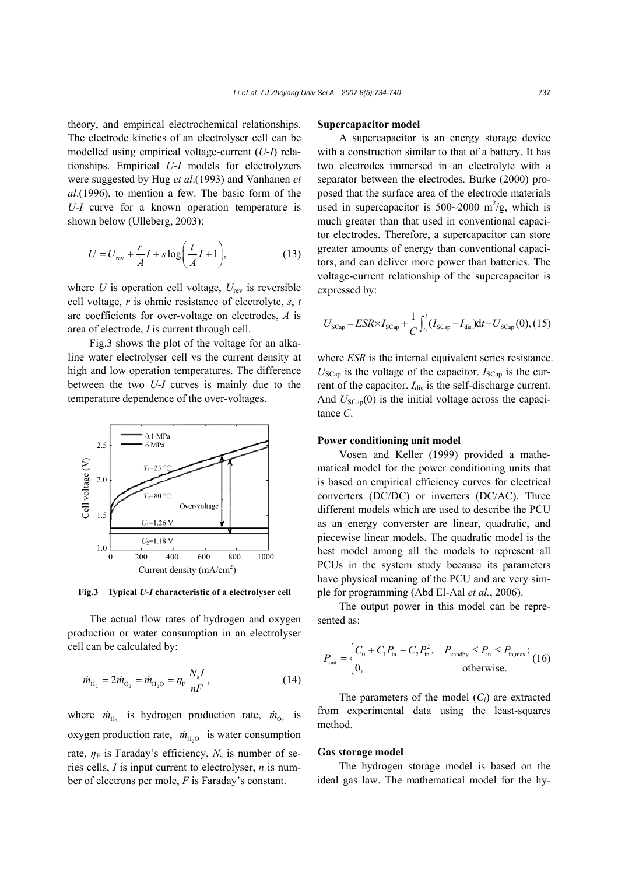theory, and empirical electrochemical relationships. The electrode kinetics of an electrolyser cell can be modelled using empirical voltage-current (*U*-*I*) relationships. Empirical *U*-*I* models for electrolyzers were suggested by Hug *et al*.(1993) and Vanhanen *et al*.(1996), to mention a few. The basic form of the *U*-*I* curve for a known operation temperature is shown below (Ulleberg, 2003):

$$
U = U_{\text{rev}} + \frac{r}{A}I + s \log\left(\frac{t}{A}I + 1\right),\tag{13}
$$

where  $U$  is operation cell voltage,  $U_{\text{rev}}$  is reversible cell voltage, *r* is ohmic resistance of electrolyte, *s*, *t* are coefficients for over-voltage on electrodes, *A* is area of electrode, *I* is current through cell.

Fig.3 shows the plot of the voltage for an alkaline water electrolyser cell vs the current density at high and low operation temperatures. The difference between the two *U*-*I* curves is mainly due to the temperature dependence of the over-voltages.



**Fig.3 Typical** *U***-***I* **characteristic of a electrolyser cell**

The actual flow rates of hydrogen and oxygen production or water consumption in an electrolyser cell can be calculated by:

$$
\dot{m}_{\text{H}_2} = 2\dot{m}_{\text{O}_2} = \dot{m}_{\text{H}_2\text{O}} = \eta_{\text{F}} \frac{N_s I}{nF},\tag{14}
$$

where  $\dot{m}_{\text{H}_2}$  is hydrogen production rate,  $\dot{m}_{\text{O}_2}$  is oxygen production rate,  $\dot{m}_{\text{H}_2O}$  is water consumption rate,  $\eta_F$  is Faraday's efficiency,  $N_s$  is number of series cells, *I* is input current to electrolyser, *n* is number of electrons per mole, *F* is Faraday's constant.

#### **Supercapacitor model**

A supercapacitor is an energy storage device with a construction similar to that of a battery. It has two electrodes immersed in an electrolyte with a separator between the electrodes. Burke (2000) proposed that the surface area of the electrode materials used in supercapacitor is  $500~2000$  m<sup>2</sup>/g, which is much greater than that used in conventional capacitor electrodes. Therefore, a supercapacitor can store greater amounts of energy than conventional capacitors, and can deliver more power than batteries. The voltage-current relationship of the supercapacitor is expressed by:

$$
U_{\text{SCap}} = ESR \times I_{\text{SCap}} + \frac{1}{C} \int_0^t (I_{\text{SCap}} - I_{\text{dis}}) dt + U_{\text{SCap}}(0), (15)
$$

where *ESR* is the internal equivalent series resistance.  $U_{\text{SCap}}$  is the voltage of the capacitor.  $I_{\text{SCap}}$  is the current of the capacitor.  $I_{dis}$  is the self-discharge current. And  $U_{\text{SCap}}(0)$  is the initial voltage across the capacitance *C*.

## **Power conditioning unit model**

Vosen and Keller (1999) provided a mathematical model for the power conditioning units that is based on empirical efficiency curves for electrical converters (DC/DC) or inverters (DC/AC). Three different models which are used to describe the PCU as an energy converster are linear, quadratic, and piecewise linear models. The quadratic model is the best model among all the models to represent all PCUs in the system study because its parameters have physical meaning of the PCU and are very simple for programming (Abd El-Aal *et al.*, 2006).

The output power in this model can be represented as:

$$
P_{\text{out}} = \begin{cases} C_0 + C_1 P_{\text{in}} + C_2 P_{\text{in}}^2, & P_{\text{standby}} \le P_{\text{in}} \le P_{\text{in,max}}; \\ 0, & \text{otherwise.} \end{cases} (16)
$$

The parameters of the model  $(C_i)$  are extracted from experimental data using the least-squares method.

#### **Gas storage model**

The hydrogen storage model is based on the ideal gas law. The mathematical model for the hy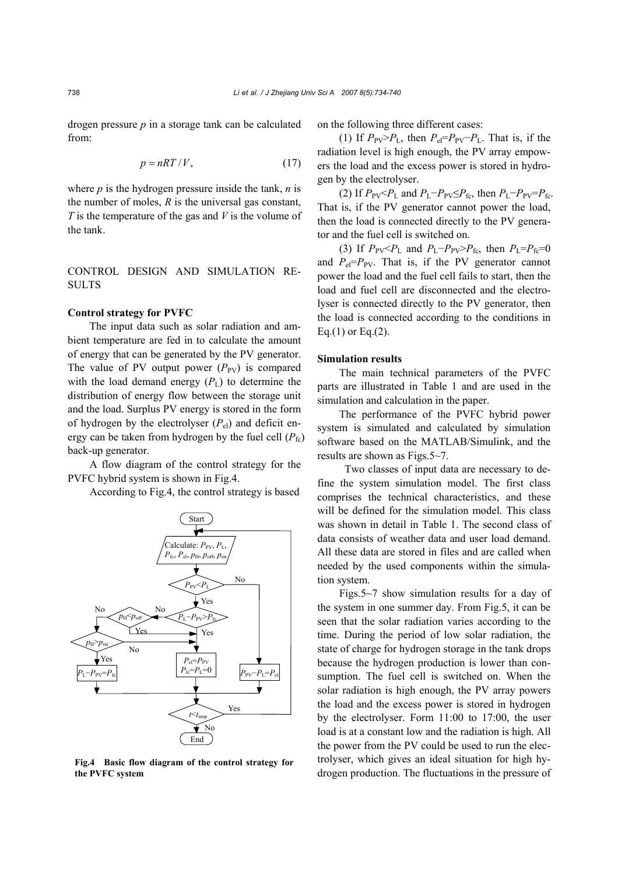drogen pressure *p* in a storage tank can be calculated from:

$$
p = nRT/V, \tag{17}
$$

where  $p$  is the hydrogen pressure inside the tank,  $n$  is the number of moles, *R* is the universal gas constant, *T* is the temperature of the gas and *V* is the volume of the tank.

# CONTROL DESIGN AND SIMULATION RE-SULTS

## **Control strategy for PVFC**

The input data such as solar radiation and ambient temperature are fed in to calculate the amount of energy that can be generated by the PV generator. The value of PV output power  $(P_{PV})$  is compared with the load demand energy  $(P_L)$  to determine the distribution of energy flow between the storage unit and the load. Surplus PV energy is stored in the form of hydrogen by the electrolyser  $(P_{el})$  and deficit energy can be taken from hydrogen by the fuel cell  $(P_{\text{fc}})$ back-up generator.

A flow diagram of the control strategy for the PVFC hybrid system is shown in Fig.4.

According to Fig.4, the control strategy is based



**Fig.4 Basic flow diagram of the control strategy for the PVFC system**

on the following three different cases:

(1) If  $P_{PV} > P_L$ , then  $P_{el} = P_{PV} - P_L$ . That is, if the radiation level is high enough, the PV array empowers the load and the excess power is stored in hydrogen by the electrolyser.

(2) If  $P_{PV}$ < $P_L$  and  $P_L$ − $P_{PV}$ ≤ $P_{fc}$ , then  $P_L$ − $P_{PV}$ = $P_{fc}$ . That is, if the PV generator cannot power the load, then the load is connected directly to the PV generator and the fuel cell is switched on.

(3) If  $P_{PV}$   $\leq$  *P*<sub>L</sub> and *P*<sub>L</sub>−*P*<sub>PV</sub> $\geq$ *P*<sub>fc</sub>, then *P*<sub>L</sub>=*P*<sub>fc</sub>=0 and  $P_{el} = P_{PV}$ . That is, if the PV generator cannot power the load and the fuel cell fails to start, then the load and fuel cell are disconnected and the electrolyser is connected directly to the PV generator, then the load is connected according to the conditions in Eq.(1) or Eq.(2).

## **Simulation results**

The main technical parameters of the PVFC parts are illustrated in Table 1 and are used in the simulation and calculation in the paper.

The performance of the PVFC hybrid power system is simulated and calculated by simulation software based on the MATLAB/Simulink, and the results are shown as Figs.5~7.

 Two classes of input data are necessary to define the system simulation model. The first class comprises the technical characteristics, and these will be defined for the simulation model. This class was shown in detail in Table 1. The second class of data consists of weather data and user load demand. All these data are stored in files and are called when needed by the used components within the simulation system.

Figs.5~7 show simulation results for a day of the system in one summer day. From Fig.5, it can be seen that the solar radiation varies according to the time. During the period of low solar radiation, the state of charge for hydrogen storage in the tank drops because the hydrogen production is lower than consumption. The fuel cell is switched on. When the solar radiation is high enough, the PV array powers the load and the excess power is stored in hydrogen by the electrolyser. Form 11:00 to 17:00, the user load is at a constant low and the radiation is high. All the power from the PV could be used to run the electrolyser, which gives an ideal situation for high hydrogen production. The fluctuations in the pressure of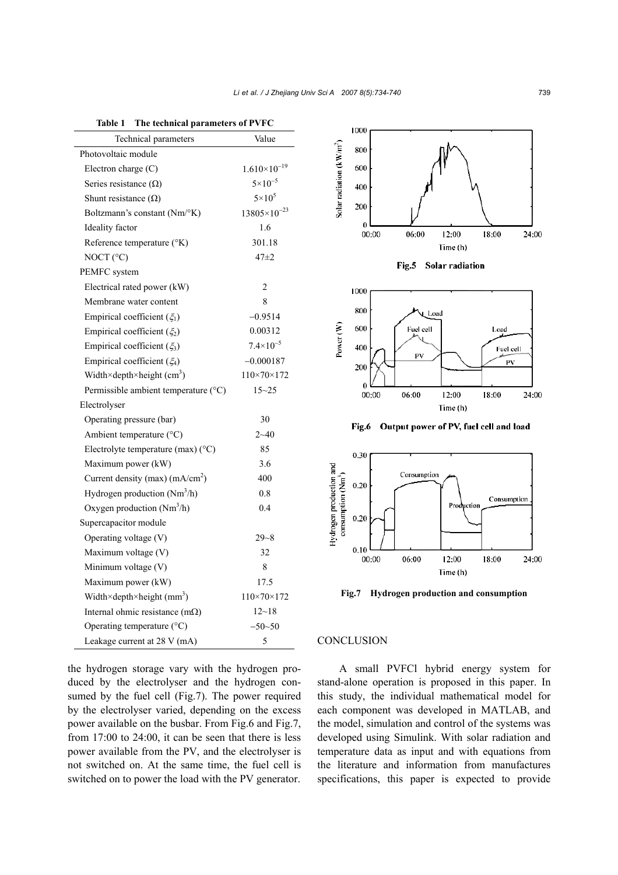| Technical parameters                     | Value                      |
|------------------------------------------|----------------------------|
| Photovoltaic module                      |                            |
| Electron charge $(C)$                    | $1.610\times10^{-19}$      |
| Series resistance $(\Omega)$             | $5 \times 10^{-5}$         |
| Shunt resistance $(\Omega)$              | $5\times10^5$              |
| Boltzmann's constant (Nm/°K)             | $13805\times10^{-23}$      |
| Ideality factor                          | 1.6                        |
| Reference temperature (°K)               | 301.18                     |
| NOCT $(^{\circ}C)$                       | $47 + 2$                   |
| PEMFC system                             |                            |
| Electrical rated power (kW)              | 2                          |
| Membrane water content                   | 8                          |
| Empirical coefficient $(\xi_1)$          | $-0.9514$                  |
| Empirical coefficient $(\xi_2)$          | 0.00312                    |
| Empirical coefficient $(\xi_3)$          | $7.4 \times 10^{-5}$       |
| Empirical coefficient $(\xi_4)$          | $-0.000187$                |
| Width×depth×height $(cm3)$               | $110 \times 70 \times 172$ |
| Permissible ambient temperature (°C)     | $15 - 25$                  |
| Electrolyser                             |                            |
| Operating pressure (bar)                 | 30                         |
| Ambient temperature (°C)                 | $2 - 40$                   |
| Electrolyte temperature (max) (°C)       | 85                         |
| Maximum power (kW)                       | 3.6                        |
| Current density (max) $(mA/cm2)$         | 400                        |
| Hydrogen production (Nm <sup>3</sup> /h) | 0.8                        |
| Oxygen production (Nm <sup>3</sup> /h)   | 0.4                        |
| Supercapacitor module                    |                            |
| Operating voltage (V)                    | $29 - 8$                   |
| Maximum voltage (V)                      | 32                         |
| Minimum voltage (V)                      | 8                          |
| Maximum power (kW)                       | 17.5                       |
| Width×depth×height $(mm3)$               | $110 \times 70 \times 172$ |
| Internal ohmic resistance $(m\Omega)$    | $12 - 18$                  |
| Operating temperature (°C)               | $-50 - 50$                 |
| Leakage current at 28 V (mA)             | 5                          |

**Table 1 The technical parameters of PVFC** 









Fig.6 Output power of PV, fuel cell and load



**Fig.7 Hydrogen production and consumption** 

#### **CONCLUSION**

A small PVFCl hybrid energy system for stand-alone operation is proposed in this paper. In this study, the individual mathematical model for each component was developed in MATLAB, and the model, simulation and control of the systems was developed using Simulink. With solar radiation and temperature data as input and with equations from the literature and information from manufactures specifications, this paper is expected to provide